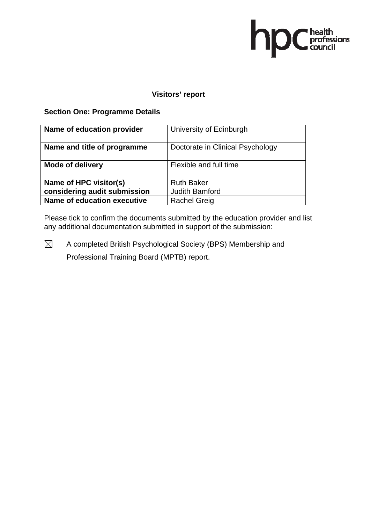## **Visitors' report**

### **Section One: Programme Details**

| Name of education provider   | University of Edinburgh          |
|------------------------------|----------------------------------|
| Name and title of programme  | Doctorate in Clinical Psychology |
| <b>Mode of delivery</b>      | Flexible and full time           |
| Name of HPC visitor(s)       | <b>Ruth Baker</b>                |
| considering audit submission | <b>Judith Bamford</b>            |
| Name of education executive  | <b>Rachel Greig</b>              |

Please tick to confirm the documents submitted by the education provider and list any additional documentation submitted in support of the submission: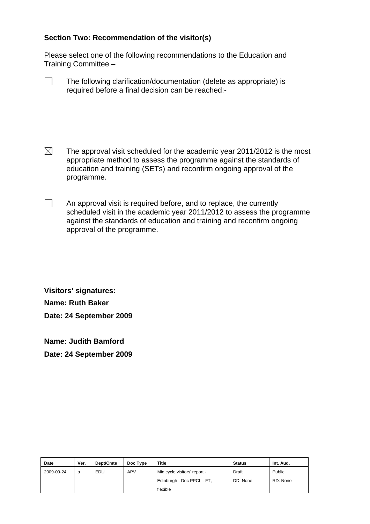Please select one of the following recommendations to the Education and Training Committee –

| The following clarification/documentation (delete as appropriate) is |
|----------------------------------------------------------------------|
| required before a final decision can be reached:-                    |

- $\boxtimes$  The approval visit scheduled for the academic year 2011/2012 is the most appropriate method to assess the programme against the standards of education and training (SETs) and reconfirm ongoing approval of the programme.
- $\Box$  An approval visit is required before, and to replace, the currently scheduled visit in the academic year 2011/2012 to assess the programme against the standards of education and training and reconfirm ongoing approval of the programme.

**Visitors' signatures: Name: Ruth Baker Date: 24 September 2009** 

**Name: Judith Bamford Date: 24 September 2009** 

| Date       | Ver. | Dept/Cmte | Doc Type | <b>Title</b>                 | <b>Status</b> | Int. Aud. |
|------------|------|-----------|----------|------------------------------|---------------|-----------|
| 2009-09-24 | a    | EDU       | APV      | Mid cycle visitors' report - | Draft         | Public    |
|            |      |           |          | Edinburgh - Doc PPCL - FT,   | DD: None      | RD: None  |
|            |      |           |          | flexible                     |               |           |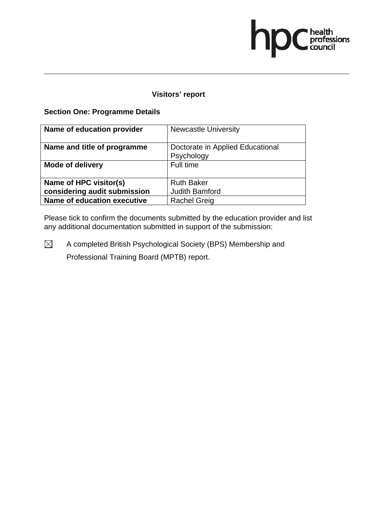### **Visitors' report**

### **Section One: Programme Details**

| Name of education provider   | <b>Newcastle University</b>                    |
|------------------------------|------------------------------------------------|
| Name and title of programme  | Doctorate in Applied Educational<br>Psychology |
| <b>Mode of delivery</b>      | Full time                                      |
| Name of HPC visitor(s)       | <b>Ruth Baker</b>                              |
| considering audit submission | <b>Judith Bamford</b>                          |
| Name of education executive  | <b>Rachel Greig</b>                            |

Please tick to confirm the documents submitted by the education provider and list any additional documentation submitted in support of the submission: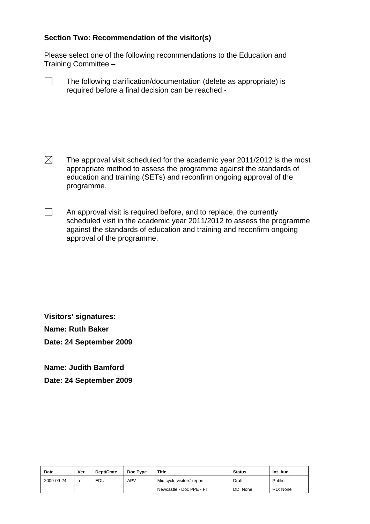Please select one of the following recommendations to the Education and Training Committee –

| The following clarification/documentation (delete as appropriate) is |
|----------------------------------------------------------------------|
| required before a final decision can be reached:-                    |

- $\boxtimes$  The approval visit scheduled for the academic year 2011/2012 is the most appropriate method to assess the programme against the standards of education and training (SETs) and reconfirm ongoing approval of the programme.
- $\Box$  An approval visit is required before, and to replace, the currently scheduled visit in the academic year 2011/2012 to assess the programme against the standards of education and training and reconfirm ongoing approval of the programme.

**Visitors' signatures: Name: Ruth Baker Date: 24 September 2009** 

**Name: Judith Bamford** 

**Date: 24 September 2009** 

| <b>Date</b> | Ver. | Dept/Cmte | Doc Type   | Title                        | <b>Status</b> | Int. Aud. |
|-------------|------|-----------|------------|------------------------------|---------------|-----------|
| 2009-09-24  | a    | EDU       | <b>APV</b> | Mid cycle visitors' report - | Draft         | Public    |
|             |      |           |            | Newcastle - Doc PPE - FT     | DD: None      | RD: None  |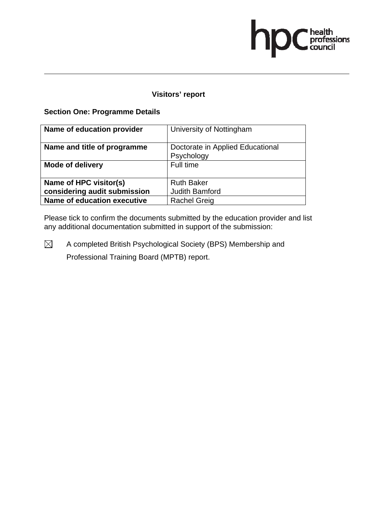### **Visitors' report**

### **Section One: Programme Details**

| Name of education provider   | University of Nottingham                       |
|------------------------------|------------------------------------------------|
| Name and title of programme  | Doctorate in Applied Educational<br>Psychology |
| <b>Mode of delivery</b>      | Full time                                      |
| Name of HPC visitor(s)       | <b>Ruth Baker</b>                              |
| considering audit submission | <b>Judith Bamford</b>                          |
| Name of education executive  | <b>Rachel Greig</b>                            |

Please tick to confirm the documents submitted by the education provider and list any additional documentation submitted in support of the submission: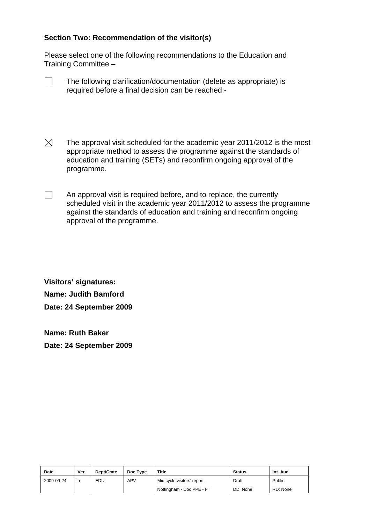Please select one of the following recommendations to the Education and Training Committee –

| The following clarification/documentation (delete as appropriate) is |
|----------------------------------------------------------------------|
| required before a final decision can be reached:-                    |

- $\boxtimes$  The approval visit scheduled for the academic year 2011/2012 is the most appropriate method to assess the programme against the standards of education and training (SETs) and reconfirm ongoing approval of the programme.
- $\Box$  An approval visit is required before, and to replace, the currently scheduled visit in the academic year 2011/2012 to assess the programme against the standards of education and training and reconfirm ongoing approval of the programme.

**Visitors' signatures: Name: Judith Bamford Date: 24 September 2009** 

**Name: Ruth Baker Date: 24 September 2009** 

| Date       | Ver. | Dept/Cmte | Doc Type   | <b>Title</b>                 | <b>Status</b> | Int. Aud. |
|------------|------|-----------|------------|------------------------------|---------------|-----------|
| 2009-09-24 | a    | EDU       | <b>APV</b> | Mid cycle visitors' report - | Draft         | Public    |
|            |      |           |            | Nottingham - Doc PPE - FT    | DD: None      | RD: None  |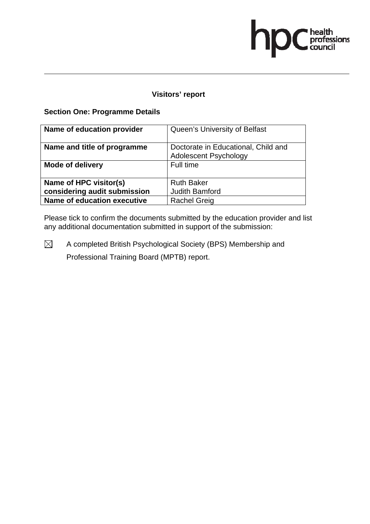## **Visitors' report**

### **Section One: Programme Details**

| Name of education provider   | Queen's University of Belfast       |  |
|------------------------------|-------------------------------------|--|
| Name and title of programme  | Doctorate in Educational, Child and |  |
|                              | <b>Adolescent Psychology</b>        |  |
| <b>Mode of delivery</b>      | Full time                           |  |
| Name of HPC visitor(s)       | <b>Ruth Baker</b>                   |  |
| considering audit submission | <b>Judith Bamford</b>               |  |
| Name of education executive  | <b>Rachel Greig</b>                 |  |

Please tick to confirm the documents submitted by the education provider and list any additional documentation submitted in support of the submission: